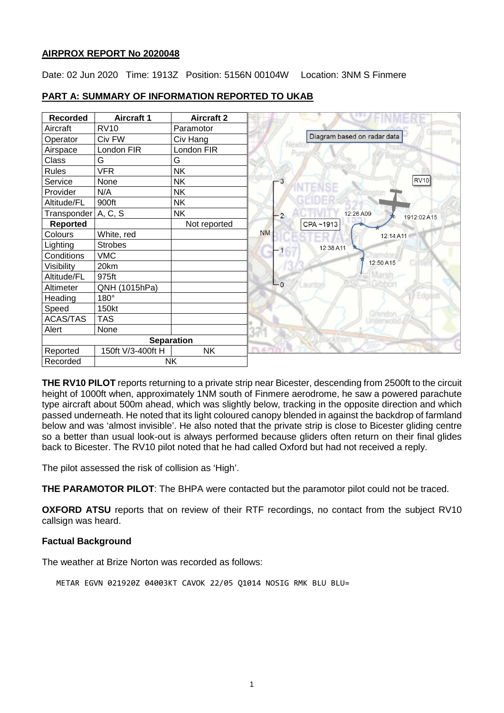#### **AIRPROX REPORT No 2020048**

Date: 02 Jun 2020 Time: 1913Z Position: 5156N 00104W Location: 3NM S Finmere

| <b>Recorded</b>       | <b>Aircraft 1</b> | <b>Aircraft 2</b> |           |                             |                |
|-----------------------|-------------------|-------------------|-----------|-----------------------------|----------------|
| Aircraft              | <b>RV10</b>       | Paramotor         |           |                             |                |
| Operator              | Civ FW            | Civ Hang          |           | Diagram based on radar data |                |
| Airspace              | London FIR        | London FIR        |           | Purg                        |                |
| Class                 | G                 | G                 |           |                             |                |
| <b>Rules</b>          | <b>VFR</b>        | <b>NK</b>         |           |                             |                |
| Service               | None              | <b>NK</b>         | - 3       |                             | <b>RV10</b>    |
| Provider              | N/A               | <b>NK</b>         |           |                             |                |
| Altitude/FL           | 900ft             | <b>NK</b>         |           |                             |                |
| Transponder   A, C, S |                   | <b>NK</b>         | $-2$      | 12:26 A09                   | 1912:02 A15    |
| <b>Reported</b>       |                   | Not reported      |           | CPA~1913                    |                |
| Colours               | White, red        |                   | <b>NM</b> |                             | 12:14 A11      |
| Lighting              | <b>Strobes</b>    |                   |           | 12:38 A11                   |                |
| Conditions            | <b>VMC</b>        |                   | ٠         |                             |                |
| Visibility            | 20km              |                   |           |                             | 12:50 A15      |
| Altitude/FL           | 975ft             |                   |           |                             |                |
| Altimeter             | QNH (1015hPa)     |                   | $L_0$     |                             |                |
| Heading               | $180^\circ$       |                   |           |                             |                |
| Speed                 | 150kt             |                   |           |                             | <i>stendor</i> |
| <b>ACAS/TAS</b>       | <b>TAS</b>        |                   |           |                             |                |
| Alert                 | None              |                   |           |                             |                |
|                       |                   | <b>Separation</b> |           |                             |                |
| Reported              | 150ft V/3-400ft H | <b>NK</b>         |           |                             |                |
| <b>NK</b><br>Recorded |                   |                   |           |                             |                |

#### **PART A: SUMMARY OF INFORMATION REPORTED TO UKAB**

**THE RV10 PILOT** reports returning to a private strip near Bicester, descending from 2500ft to the circuit height of 1000ft when, approximately 1NM south of Finmere aerodrome, he saw a powered parachute type aircraft about 500m ahead, which was slightly below, tracking in the opposite direction and which passed underneath. He noted that its light coloured canopy blended in against the backdrop of farmland below and was 'almost invisible'. He also noted that the private strip is close to Bicester gliding centre so a better than usual look-out is always performed because gliders often return on their final glides back to Bicester. The RV10 pilot noted that he had called Oxford but had not received a reply.

The pilot assessed the risk of collision as 'High'.

**THE PARAMOTOR PILOT**: The BHPA were contacted but the paramotor pilot could not be traced.

**OXFORD ATSU** reports that on review of their RTF recordings, no contact from the subject RV10 callsign was heard.

## **Factual Background**

The weather at Brize Norton was recorded as follows:

METAR EGVN 021920Z 04003KT CAVOK 22/05 Q1014 NOSIG RMK BLU BLU=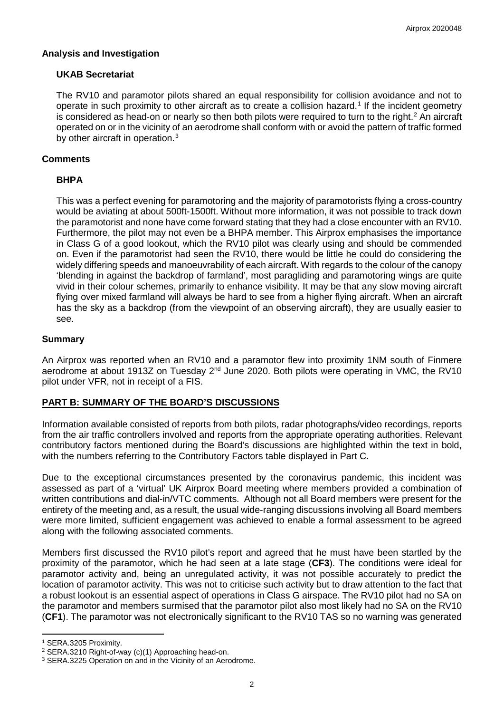## **Analysis and Investigation**

## **UKAB Secretariat**

The RV10 and paramotor pilots shared an equal responsibility for collision avoidance and not to operate in such proximity to other aircraft as to create a collision hazard. [1](#page-1-0) If the incident geometry is considered as head-on or nearly so then both pilots were required to turn to the right.<sup>[2](#page-1-1)</sup> An aircraft operated on or in the vicinity of an aerodrome shall conform with or avoid the pattern of traffic formed by other aircraft in operation.<sup>[3](#page-1-2)</sup>

# **Comments**

# **BHPA**

This was a perfect evening for paramotoring and the majority of paramotorists flying a cross-country would be aviating at about 500ft-1500ft. Without more information, it was not possible to track down the paramotorist and none have come forward stating that they had a close encounter with an RV10. Furthermore, the pilot may not even be a BHPA member. This Airprox emphasises the importance in Class G of a good lookout, which the RV10 pilot was clearly using and should be commended on. Even if the paramotorist had seen the RV10, there would be little he could do considering the widely differing speeds and manoeuvrability of each aircraft. With regards to the colour of the canopy 'blending in against the backdrop of farmland', most paragliding and paramotoring wings are quite vivid in their colour schemes, primarily to enhance visibility. It may be that any slow moving aircraft flying over mixed farmland will always be hard to see from a higher flying aircraft. When an aircraft has the sky as a backdrop (from the viewpoint of an observing aircraft), they are usually easier to see.

## **Summary**

An Airprox was reported when an RV10 and a paramotor flew into proximity 1NM south of Finmere aerodrome at about 1913Z on Tuesday  $2<sup>nd</sup>$  June 2020. Both pilots were operating in VMC, the RV10 pilot under VFR, not in receipt of a FIS.

## **PART B: SUMMARY OF THE BOARD'S DISCUSSIONS**

Information available consisted of reports from both pilots, radar photographs/video recordings, reports from the air traffic controllers involved and reports from the appropriate operating authorities. Relevant contributory factors mentioned during the Board's discussions are highlighted within the text in bold, with the numbers referring to the Contributory Factors table displayed in Part C.

Due to the exceptional circumstances presented by the coronavirus pandemic, this incident was assessed as part of a 'virtual' UK Airprox Board meeting where members provided a combination of written contributions and dial-in/VTC comments. Although not all Board members were present for the entirety of the meeting and, as a result, the usual wide-ranging discussions involving all Board members were more limited, sufficient engagement was achieved to enable a formal assessment to be agreed along with the following associated comments.

Members first discussed the RV10 pilot's report and agreed that he must have been startled by the proximity of the paramotor, which he had seen at a late stage (**CF3**). The conditions were ideal for paramotor activity and, being an unregulated activity, it was not possible accurately to predict the location of paramotor activity. This was not to criticise such activity but to draw attention to the fact that a robust lookout is an essential aspect of operations in Class G airspace. The RV10 pilot had no SA on the paramotor and members surmised that the paramotor pilot also most likely had no SA on the RV10 (**CF1**). The paramotor was not electronically significant to the RV10 TAS so no warning was generated

l

<span id="page-1-0"></span><sup>&</sup>lt;sup>1</sup> SERA.3205 Proximity.<br><sup>2</sup> SERA.3210 Right-of-way (c)(1) Approaching head-on.

<span id="page-1-2"></span><span id="page-1-1"></span><sup>&</sup>lt;sup>3</sup> SERA.3225 Operation on and in the Vicinity of an Aerodrome.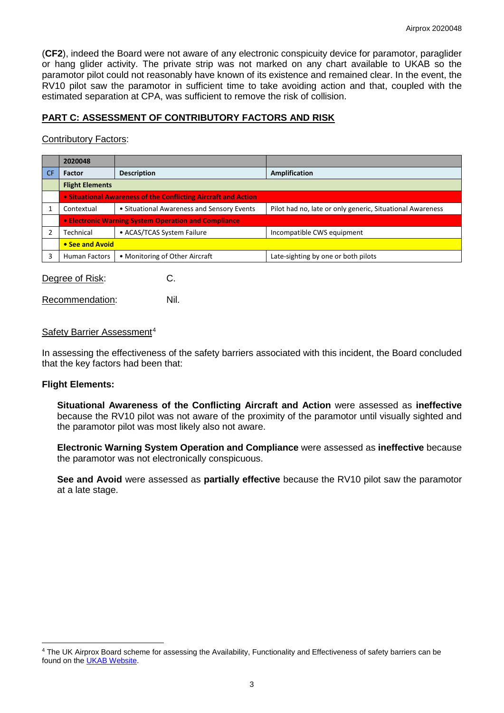(**CF2**), indeed the Board were not aware of any electronic conspicuity device for paramotor, paraglider or hang glider activity. The private strip was not marked on any chart available to UKAB so the paramotor pilot could not reasonably have known of its existence and remained clear. In the event, the RV10 pilot saw the paramotor in sufficient time to take avoiding action and that, coupled with the estimated separation at CPA, was sufficient to remove the risk of collision.

# **PART C: ASSESSMENT OF CONTRIBUTORY FACTORS AND RISK**

#### Contributory Factors:

|           | 2020048                                                        |                                            |                                                           |  |  |  |  |
|-----------|----------------------------------------------------------------|--------------------------------------------|-----------------------------------------------------------|--|--|--|--|
| <b>CF</b> | <b>Factor</b>                                                  | <b>Description</b>                         | Amplification                                             |  |  |  |  |
|           | <b>Flight Elements</b>                                         |                                            |                                                           |  |  |  |  |
|           | . Situational Awareness of the Conflicting Aircraft and Action |                                            |                                                           |  |  |  |  |
|           | Contextual                                                     | • Situational Awareness and Sensory Events | Pilot had no, late or only generic, Situational Awareness |  |  |  |  |
|           | <b>.</b> Electronic Warning System Operation and Compliance    |                                            |                                                           |  |  |  |  |
|           | Technical                                                      | • ACAS/TCAS System Failure                 | Incompatible CWS equipment                                |  |  |  |  |
|           | • See and Avoid                                                |                                            |                                                           |  |  |  |  |
| 3         | <b>Human Factors</b>                                           | • Monitoring of Other Aircraft             | Late-sighting by one or both pilots                       |  |  |  |  |
|           |                                                                |                                            |                                                           |  |  |  |  |

Degree of Risk: C.

Recommendation: Nil.

#### Safety Barrier Assessment<sup>[4](#page-2-0)</sup>

In assessing the effectiveness of the safety barriers associated with this incident, the Board concluded that the key factors had been that:

#### **Flight Elements:**

 $\overline{\phantom{a}}$ 

**Situational Awareness of the Conflicting Aircraft and Action** were assessed as **ineffective** because the RV10 pilot was not aware of the proximity of the paramotor until visually sighted and the paramotor pilot was most likely also not aware.

**Electronic Warning System Operation and Compliance** were assessed as **ineffective** because the paramotor was not electronically conspicuous.

**See and Avoid** were assessed as **partially effective** because the RV10 pilot saw the paramotor at a late stage.

<span id="page-2-0"></span><sup>4</sup> The UK Airprox Board scheme for assessing the Availability, Functionality and Effectiveness of safety barriers can be found on the [UKAB Website.](http://www.airproxboard.org.uk/Learn-more/Airprox-Barrier-Assessment/)